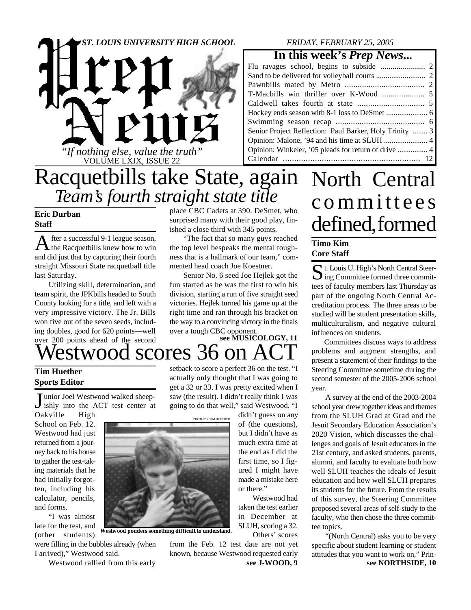### *ST. LOUIS UNIVERSITY HIGH SCHOOL*



#### *FRIDAY, FEBRUARY 25, 2005*

### **In this week's** *Prep News***...**

| Senior Project Reflection: Paul Barker, Holy Trinity  3 |  |
|---------------------------------------------------------|--|
|                                                         |  |
|                                                         |  |
|                                                         |  |
|                                                         |  |

# Racquetbills take State, again *Team's fourth straight state title*

### **Eric Durban Staff**

A fter a successful 9-1 league season,<br>the Racquetbills knew how to win fter a successful 9-1 league season, and did just that by capturing their fourth straight Missouri State racquetball title last Saturday.

Utilizing skill, determination, and team spirit, the JPKbills headed to South County looking for a title, and left with a very impressive victory. The Jr. Bills won five out of the seven seeds, including doubles, good for 620 points—well over 200 points ahead of the second place CBC Cadets at 390. DeSmet, who surprised many with their good play, finished a close third with 345 points.

"The fact that so many guys reached the top level bespeaks the mental toughness that is a hallmark of our team," commented head coach Joe Koestner.

Senior No. 6 seed Joe Hejlek got the fun started as he was the first to win his division, starting a run of five straight seed victories. Hejlek turned his game up at the right time and ran through his bracket on the way to a convincing victory in the finals over a tough CBC opponent.

### /estwood scores 36 on A **see MUSICOLOGY, 11**

### **Tim Huether Sports Editor**

Junior Joel Westwood walked sheep-<br>ishly into the ACT test center at unior Joel Westwood walked sheep-Oakville High

School on Feb. 12. Westwood had just returned from a journey back to his house to gather the test-taking materials that he had initially forgotten, including his calculator, pencils, and forms.

"I was almost late for the test, and (other students)

were filling in the bubbles already (when I arrived)," Westwood said.

Westwood rallied from this early

setback to score a perfect 36 on the test. "I actually only thought that I was going to get a 32 or 33. I was pretty excited when I saw (the result). I didn't really think I was going to do that well," said Westwood. "I didn't guess on any

> of (the questions), but I didn't have as much extra time at the end as I did the first time, so I figured I might have made a mistake here

> Westwood had taken the test earlier in December at SLUH, scoring a 32. Others' scores

or there."

PHOTO BY TIM HUETHER

**Westwood ponders something difficult to understand.**

**see J-WOOD, 9** from the Feb. 12 test date are not yet known, because Westwood requested early

# North Central c ommitt e e s defined, formed

### **Timo Kim Core Staff**

St. Louis U. High's North Central Steering Committee formed three committ. Louis U. High's North Central Steertees of faculty members last Thursday as part of the ongoing North Central Accreditation process. The three areas to be studied will be student presentation skills, multiculturalism, and negative cultural influences on students.

Committees discuss ways to address problems and augment strengths, and present a statement of their findings to the Steering Committee sometime during the second semester of the 2005-2006 school year.

A survey at the end of the 2003-2004 school year drew together ideas and themes from the SLUH Grad at Grad and the Jesuit Secondary Education Association's 2020 Vision, which discusses the challenges and goals of Jesuit educators in the 21st century, and asked students, parents, alumni, and faculty to evaluate both how well SLUH teaches the ideals of Jesuit education and how well SLUH prepares its students for the future. From the results of this survey, the Steering Committee proposed several areas of self-study to the faculty, who then chose the three committee topics.

"(North Central) asks you to be very specific about student learning or student attitudes that you want to work on," Prin**see NORTHSIDE, 10**

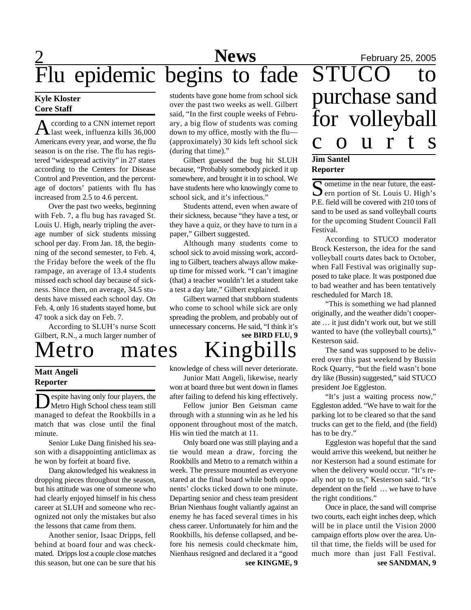### 2 **News** February 25, 2005 **News** Flu epidemic begins to fade STUCO to

#### **Kyle Kloster Core Staff**

A ccording to a CNN internet report<br>also week, influenza kills 36,000 ccording to a CNN internet report Americans every year, and worse, the flu season is on the rise. The flu has registered "widespread activity" in 27 states according to the Centers for Disease Control and Prevention, and the percentage of doctors' patients with flu has increased from 2.5 to 4.6 percent.

Over the past two weeks, beginning with Feb. 7, a flu bug has ravaged St. Louis U. High, nearly tripling the average number of sick students missing school per day. From Jan. 18, the beginning of the second semester, to Feb. 4, the Friday before the week of the flu rampage, an average of 13.4 students missed each school day because of sickness. Since then, on average, 34.5 students have missed each school day. On Feb. 4, only 16 students stayed home, but 47 took a sick day on Feb. 7.

According to SLUH's nurse Scott Gilbert, R.N., a much larger number of

Metro mates Kingbills

#### **Matt Angeli Reporter**

Despite having only four players, the<br>Metro High School chess team still<br>managed to defeat the Rookbills in a espite having only four players, the Metro High School chess team still match that was close until the final minute.

Senior Luke Dang finished his season with a disappointing anticlimax as he won by forfeit at board five.

Dang aknowledged his weakness in dropping pieces throughout the season, but his attitude was one of someone who had clearly enjoyed himself in his chess career at SLUH and someone who recognized not only the mistakes but also the lessons that came from them.

Another senior, Isaac Dripps, fell behind at board four and was checkmated. Dripps lost a couple close matches this season, but one can be sure that his students have gone home from school sick over the past two weeks as well. Gilbert said, "In the first couple weeks of February, a big flow of students was coming down to my office, mostly with the flu— (approximately) 30 kids left school sick (during that time)."

Gilbert guessed the bug hit SLUH because, "Probably somebody picked it up somewhere, and brought it in to school. We have students here who knowingly come to school sick, and it's infectious."

Students attend, even when aware of their sickness, because "they have a test, or they have a quiz, or they have to turn in a paper," Gilbert suggested.

Although many students come to school sick to avoid missing work, according to Gilbert, teachers always allow makeup time for missed work. "I can't imagine (that) a teacher wouldn't let a student take a test a day late," Gilbert explained.

Gilbert warned that stubborn students who come to school while sick are only spreading the problem, and probably out of unnecessary concerns. He said, "I think it's

# **see BIRD FLU, 9**

knowledge of chess will never deteriorate. Junior Matt Angeli, likewise, nearly won at board three but went down in flames after failing to defend his king effectively.

Fellow junior Ben Geisman came through with a stunning win as he led his opponent throughout most of the match. His win tied the match at 11.

**see KINGME, 9** Only board one was still playing and a tie would mean a draw, forcing the Rookbills and Metro to a rematch within a week. The pressure mounted as everyone stared at the final board while both opponents' clocks ticked down to one minute. Departing senior and chess team president Brian Nienhaus fought valiantly against an enemy he has faced several times in his chess career. Unfortunately for him and the Rookbills, his defense collapsed, and before his nemesis could checkmate him, Nienhaus resigned and declared it a "good

# purchase sand for volleyball c o u r t s **Jim Santel Reporter**

Sometime in the near future, the east-<br>Sern portion of St. Louis U. High's  $\Box$  ern portion of St. Louis U. High's P.E. field will be covered with 210 tons of sand to be used as sand volleyball courts for the upcoming Student Council Fall Festival.

According to STUCO moderator Brock Kesterson, the idea for the sand volleyball courts dates back to October, when Fall Festival was originally supposed to take place. It was postponed due to bad weather and has been tentatively rescheduled for March 18.

"This is something we had planned originally, and the weather didn't cooperate … it just didn't work out, but we still wanted to have (the volleyball courts)," Kesterson said.

The sand was supposed to be delivered over this past weekend by Bussin Rock Quarry, "but the field wasn't bone dry like (Bussin) suggested," said STUCO president Joe Eggleston.

"It's just a waiting process now," Eggleston added. "We have to wait for the parking lot to be cleared so that the sand trucks can get to the field, and (the field) has to be dry."

Eggleston was hopeful that the sand would arrive this weekend, but neither he nor Kesterson had a sound estimate for when the delivery would occur. "It's really not up to us," Kesterson said. "It's dependent on the field … we have to have the right conditions."

**see SANDMAN, 9** Once in place, the sand will comprise two courts, each eight inches deep, which will be in place until the Vision 2000 campaign efforts plow over the area. Until that time, the fields will be used for much more than just Fall Festival.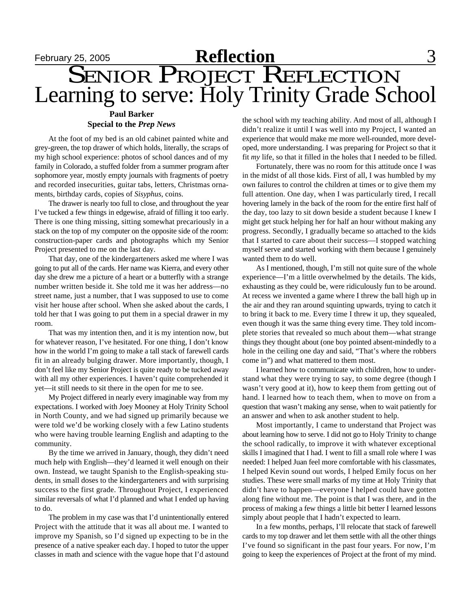# **February 25, 2005 Reflection** 3 SENIOR PROJECT REFLECTION Learning to serve: Holy Trinity Grade School

### **Paul Barker Special to the** *Prep News*

At the foot of my bed is an old cabinet painted white and grey-green, the top drawer of which holds, literally, the scraps of my high school experience: photos of school dances and of my family in Colorado, a stuffed folder from a summer program after sophomore year, mostly empty journals with fragments of poetry and recorded insecurities, guitar tabs, letters, Christmas ornaments, birthday cards, copies of *Sisyphus*, coins.

The drawer is nearly too full to close, and throughout the year I've tucked a few things in edgewise, afraid of filling it too early. There is one thing missing, sitting somewhat precariously in a stack on the top of my computer on the opposite side of the room: construction-paper cards and photographs which my Senior Project presented to me on the last day.

That day, one of the kindergarteners asked me where I was going to put all of the cards. Her name was Kierra, and every other day she drew me a picture of a heart or a butterfly with a strange number written beside it. She told me it was her address—no street name, just a number, that I was supposed to use to come visit her house after school. When she asked about the cards, I told her that I was going to put them in a special drawer in my room.

That was my intention then, and it is my intention now, but for whatever reason, I've hesitated. For one thing, I don't know how in the world I'm going to make a tall stack of farewell cards fit in an already bulging drawer. More importantly, though, I don't feel like my Senior Project is quite ready to be tucked away with all my other experiences. I haven't quite comprehended it yet—it still needs to sit there in the open for me to see.

My Project differed in nearly every imaginable way from my expectations. I worked with Joey Mooney at Holy Trinity School in North County, and we had signed up primarily because we were told we'd be working closely with a few Latino students who were having trouble learning English and adapting to the community.

By the time we arrived in January, though, they didn't need much help with English—they'd learned it well enough on their own. Instead, we taught Spanish to the English-speaking students, in small doses to the kindergarteners and with surprising success to the first grade. Throughout Project, I experienced similar reversals of what I'd planned and what I ended up having to do.

The problem in my case was that I'd unintentionally entered Project with the attitude that it was all about me. I wanted to improve my Spanish, so I'd signed up expecting to be in the presence of a native speaker each day. I hoped to tutor the upper classes in math and science with the vague hope that I'd astound the school with my teaching ability. And most of all, although I didn't realize it until I was well into my Project, I wanted an experience that would make me more well-rounded, more developed, more understanding. I was preparing for Project so that it fit *my* life, so that it filled in the holes that I needed to be filled.

Fortunately, there was no room for this attitude once I was in the midst of all those kids. First of all, I was humbled by my own failures to control the children at times or to give them my full attention. One day, when I was particularly tired, I recall hovering lamely in the back of the room for the entire first half of the day, too lazy to sit down beside a student because I knew I might get stuck helping her for half an hour without making any progress. Secondly, I gradually became so attached to the kids that I started to care about their success—I stopped watching myself serve and started working with them because I genuinely wanted them to do well.

As I mentioned, though, I'm still not quite sure of the whole experience—I'm a little overwhelmed by the details. The kids, exhausting as they could be, were ridiculously fun to be around. At recess we invented a game where I threw the ball high up in the air and they ran around squinting upwards, trying to catch it to bring it back to me. Every time I threw it up, they squealed, even though it was the same thing every time. They told incomplete stories that revealed so much about them—what strange things they thought about (one boy pointed absent-mindedly to a hole in the ceiling one day and said, "That's where the robbers come in") and what mattered to them most.

I learned how to communicate with children, how to understand what they were trying to say, to some degree (though I wasn't very good at it), how to keep them from getting out of hand. I learned how to teach them, when to move on from a question that wasn't making any sense, when to wait patiently for an answer and when to ask another student to help.

Most importantly, I came to understand that Project was about learning how to serve. I did not go to Holy Trinity to change the school radically, to improve it with whatever exceptional skills I imagined that I had. I went to fill a small role where I was needed: I helped Juan feel more comfortable with his classmates, I helped Kevin sound out words, I helped Emily focus on her studies. These were small marks of my time at Holy Trinity that didn't have to happen—everyone I helped could have gotten along fine without me. The point is that I was there, and in the process of making a few things a little bit better I learned lessons simply about people that I hadn't expected to learn.

In a few months, perhaps, I'll relocate that stack of farewell cards to my top drawer and let them settle with all the other things I've found so significant in the past four years. For now, I'm going to keep the experiences of Project at the front of my mind.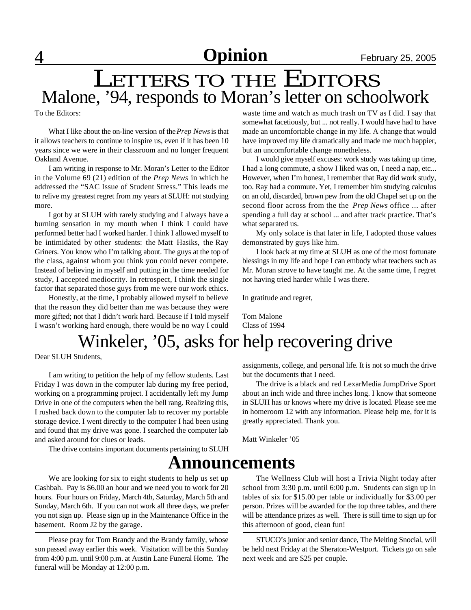# LETTERS TO THE EDITORS Malone, '94, responds to Moran's letter on schoolwork

To the Editors:

What I like about the on-line version of the *Prep News* is that it allows teachers to continue to inspire us, even if it has been 10 years since we were in their classroom and no longer frequent Oakland Avenue.

I am writing in response to Mr. Moran's Letter to the Editor in the Volume 69 (21) edition of the *Prep News* in which he addressed the "SAC Issue of Student Stress." This leads me to relive my greatest regret from my years at SLUH: not studying more.

I got by at SLUH with rarely studying and I always have a burning sensation in my mouth when I think I could have performed better had I worked harder. I think I allowed myself to be intimidated by other students: the Matt Hasiks, the Ray Griners. You know who I'm talking about. The guys at the top of the class, against whom you think you could never compete. Instead of believing in myself and putting in the time needed for study, I accepted mediocrity. In retrospect, I think the single factor that separated those guys from me were our work ethics.

Honestly, at the time, I probably allowed myself to believe that the reason they did better than me was because they were more gifted; not that I didn't work hard. Because if I told myself I wasn't working hard enough, there would be no way I could waste time and watch as much trash on TV as I did. I say that somewhat facetiously, but ... not really. I would have had to have made an uncomfortable change in my life. A change that would have improved my life dramatically and made me much happier, but an uncomfortable change nonetheless.

I would give myself excuses: work study was taking up time, I had a long commute, a show I liked was on, I need a nap, etc... However, when I'm honest, I remember that Ray did work study, too. Ray had a commute. Yet, I remember him studying calculus on an old, discarded, brown pew from the old Chapel set up on the second floor across from the the *Prep News* office ... after spending a full day at school ... and after track practice. That's what separated us.

My only solace is that later in life, I adopted those values demonstrated by guys like him.

I look back at my time at SLUH as one of the most fortunate blessings in my life and hope I can embody what teachers such as Mr. Moran strove to have taught me. At the same time, I regret not having tried harder while I was there.

In gratitude and regret,

Tom Malone Class of 1994

# Winkeler, '05, asks for help recovering drive

Dear SLUH Students,

I am writing to petition the help of my fellow students. Last Friday I was down in the computer lab during my free period, working on a programming project. I accidentally left my Jump Drive in one of the computers when the bell rang. Realizing this, I rushed back down to the computer lab to recover my portable storage device. I went directly to the computer I had been using and found that my drive was gone. I searched the computer lab and asked around for clues or leads.

The drive contains important documents pertaining to SLUH

## **Announcements**

We are looking for six to eight students to help us set up Cashbah. Pay is \$6.00 an hour and we need you to work for 20 hours. Four hours on Friday, March 4th, Saturday, March 5th and Sunday, March 6th. If you can not work all three days, we prefer you not sign up. Please sign up in the Maintenance Office in the basement. Room J2 by the garage.

Please pray for Tom Brandy and the Brandy family, whose son passed away earlier this week. Visitation will be this Sunday from 4:00 p.m. until 9:00 p.m. at Austin Lane Funeral Home. The funeral will be Monday at 12:00 p.m.

assignments, college, and personal life. It is not so much the drive but the documents that I need.

The drive is a black and red LexarMedia JumpDrive Sport about an inch wide and three inches long. I know that someone in SLUH has or knows where my drive is located. Please see me in homeroom 12 with any information. Please help me, for it is greatly appreciated. Thank you.

Matt Winkeler '05

The Wellness Club will host a Trivia Night today after school from 3:30 p.m. until 6:00 p.m. Students can sign up in tables of six for \$15.00 per table or individually for \$3.00 per person. Prizes will be awarded for the top three tables, and there will be attendance prizes as well. There is still time to sign up for this afternoon of good, clean fun!

STUCO's junior and senior dance, The Melting Snocial, will be held next Friday at the Sheraton-Westport. Tickets go on sale next week and are \$25 per couple.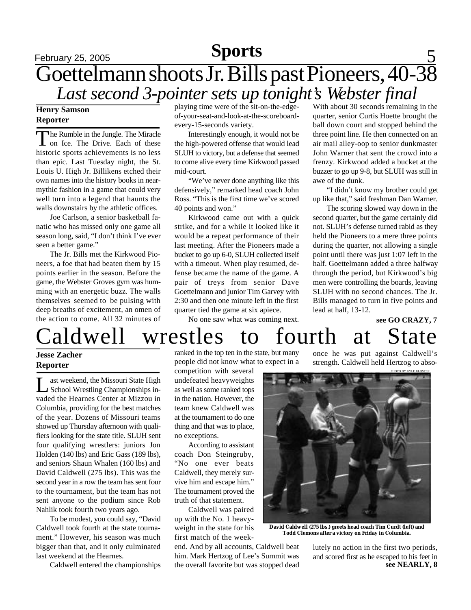## **Sports**

# **February 25, 2005 Sports** 5 Goettelmann shoots Jr. Bills past Pioneers, 40-38 *Last second 3-pointer sets up tonight's Webster final*

### **Henry Samson Reporter**

The Rumble in the Jungle. The Miracle<br>
on Ice. The Drive. Each of these he Rumble in the Jungle. The Miracle historic sports achievements is no less than epic. Last Tuesday night, the St. Louis U. High Jr. Billikens etched their own names into the history books in nearmythic fashion in a game that could very well turn into a legend that haunts the walls downstairs by the athletic offices.

Joe Carlson, a senior basketball fanatic who has missed only one game all season long, said, "I don't think I've ever seen a better game."

The Jr. Bills met the Kirkwood Pioneers, a foe that had beaten them by 15 points earlier in the season. Before the game, the Webster Groves gym was humming with an energetic buzz. The walls themselves seemed to be pulsing with deep breaths of excitement, an omen of the action to come. All 32 minutes of playing time were of the sit-on-the-edgeof-your-seat-and-look-at-the-scoreboardevery-15-seconds variety.

Interestingly enough, it would not be the high-powered offense that would lead SLUH to victory, but a defense that seemed to come alive every time Kirkwood passed mid-court.

"We've never done anything like this defensively," remarked head coach John Ross. "This is the first time we've scored 40 points and won."

Kirkwood came out with a quick strike, and for a while it looked like it would be a repeat performance of their last meeting. After the Pioneers made a bucket to go up 6-0, SLUH collected itself with a timeout. When play resumed, defense became the name of the game. A pair of treys from senior Dave Goettelmann and junior Tim Garvey with 2:30 and then one minute left in the first quarter tied the game at six apiece.

No one saw what was coming next.

With about 30 seconds remaining in the quarter, senior Curtis Hoette brought the ball down court and stopped behind the three point line. He then connected on an air mail alley-oop to senior dunkmaster John Warner that sent the crowd into a frenzy. Kirkwood added a bucket at the buzzer to go up 9-8, but SLUH was still in awe of the dunk.

"I didn't know my brother could get up like that," said freshman Dan Warner.

The scoring slowed way down in the second quarter, but the game certainly did not. SLUH's defense turned rabid as they held the Pioneers to a mere three points during the quarter, not allowing a single point until there was just 1:07 left in the half. Goettelmann added a three halfway through the period, but Kirkwood's big men were controlling the boards, leaving SLUH with no second chances. The Jr. Bills managed to turn in five points and lead at half, 13-12.

**see GO CRAZY, 7** Caldwell wrestles to fourth at State

### **Jesse Zacher Reporter**

Let ast weekend, the Missouri State High<br>School Wrestling Championships in-<br>vaded the Hearnes Center at Mizzou in ast weekend, the Missouri State High School Wrestling Championships in-Columbia, providing for the best matches of the year. Dozens of Missouri teams showed up Thursday afternoon with qualifiers looking for the state title. SLUH sent four qualifying wrestlers: juniors Jon Holden (140 lbs) and Eric Gass (189 lbs), and seniors Shaun Whalen (160 lbs) and David Caldwell (275 lbs). This was the second year in a row the team has sent four to the tournament, but the team has not sent anyone to the podium since Rob Nahlik took fourth two years ago.

To be modest, you could say, "David Caldwell took fourth at the state tournament." However, his season was much bigger than that, and it only culminated last weekend at the Hearnes.

Caldwell entered the championships

ranked in the top ten in the state, but many people did not know what to expect in a

competition with several undefeated heavyweights as well as some ranked tops in the nation. However, the team knew Caldwell was at the tournament to do one thing and that was to place, no exceptions.

According to assistant coach Don Steingruby, "No one ever beats Caldwell, they merely survive him and escape him." The tournament proved the truth of that statement.

Caldwell was paired up with the No. 1 heavyweight in the state for his first match of the week-

end. And by all accounts, Caldwell beat him. Mark Hertzog of Lee's Summit was the overall favorite but was stopped dead

PHOTO BY KYLE KLOSTER once he was put against Caldwell's strength. Caldwell held Hertzog to abso-



**David Caldwell (275 lbs.) greets head coach Tim Curdt (left) and Todd Clemons after a victory on Friday in Columbia.**

**see NEARLY, 8** lutely no action in the first two periods, and scored first as he escaped to his feet in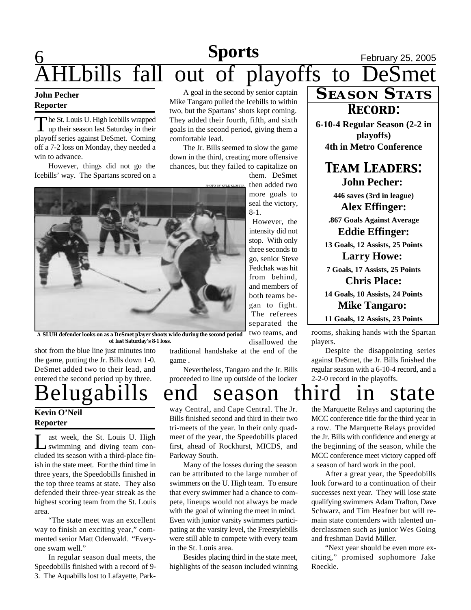## **6 News** February 25, 2005 bills fall out of playoffs to DeSmet **Sports**

#### **John Pecher Reporter**

The St. Louis U. High Icebills wrapped<br>up their season last Saturday in their he St. Louis U. High Icebills wrapped playoff series against DeSmet. Coming off a 7-2 loss on Monday, they needed a win to advance.

However, things did not go the Icebills' way. The Spartans scored on a

A goal in the second by senior captain Mike Tangaro pulled the Icebills to within two, but the Spartans' shots kept coming. They added their fourth, fifth, and sixth goals in the second period, giving them a comfortable lead.

The Jr. Bills seemed to slow the game down in the third, creating more offensive chances, but they failed to capitalize on

PHOTO BY KYLE KLOSTER them. DeSmet then added two

more goals to seal the victory, 8-1.

However, the intensity did not stop. With only three seconds to go, senior Steve Fedchak was hit from behind, and members of both teams began to fight. The referees separated the two teams, and disallowed the

**A SLUH defender looks on as a DeSmet player shoots wide during the second period of last Saturday's 8-1 loss.**

shot from the blue line just minutes into the game, putting the Jr. Bills down 1-0. DeSmet added two to their lead, and entered the second period up by three.

# Belugabills end season third in state

### **Kevin O'Neil Reporter**

I L ast week, the St. Louis U. High swimming and diving team concluded its season with a third-place finish in the state meet. For the third time in three years, the Speedobills finished in the top three teams at state. They also defended their three-year streak as the highest scoring team from the St. Louis area.

"The state meet was an excellent way to finish an exciting year," commented senior Matt Odenwald. "Everyone swam well."

In regular season dual meets, the Speedobills finished with a record of 9- 3. The Aquabills lost to Lafayette, Parktraditional handshake at the end of the game .

Nevertheless, Tangaro and the Jr. Bills proceeded to line up outside of the locker

way Central, and Cape Central. The Jr. Bills finished second and third in their two tri-meets of the year. In their only quadmeet of the year, the Speedobills placed first, ahead of Rockhurst, MICDS, and Parkway South.

Many of the losses during the season can be attributed to the large number of swimmers on the U. High team. To ensure that every swimmer had a chance to compete, lineups would not always be made with the goal of winning the meet in mind. Even with junior varsity swimmers participating at the varsity level, the Freestylebills were still able to compete with every team in the St. Louis area.

Besides placing third in the state meet, highlights of the season included winning

# **SEASON STATS**

**6-10-4 Regular Season (2-2 in playoffs) 4th in Metro Conference**

### **TEAM LEADERS: John Pecher:**

**446 saves (3rd in league) Alex Effinger:**

**.867 Goals Against Average Eddie Effinger:**

**13 Goals, 12 Assists, 25 Points**

**Larry Howe: 7 Goals, 17 Assists, 25 Points Chris Place:**

**14 Goals, 10 Assists, 24 Points Mike Tangaro: 11 Goals, 12 Assists, 23 Points**

rooms, shaking hands with the Spartan players.

Despite the disappointing series against DeSmet, the Jr. Bills finished the regular season with a 6-10-4 record, and a 2-2-0 record in the playoffs.

the Marquette Relays and capturing the MCC conference title for the third year in a row. The Marquette Relays provided the Jr. Bills with confidence and energy at the beginning of the season, while the MCC conference meet victory capped off a season of hard work in the pool.

After a great year, the Speedobills look forward to a continuation of their successes next year. They will lose state qualifying swimmers Adam Trafton, Dave Schwarz, and Tim Heafner but will remain state contenders with talented underclassmen such as junior Wes Going and freshman David Miller.

"Next year should be even more exciting," promised sophomore Jake Roeckle.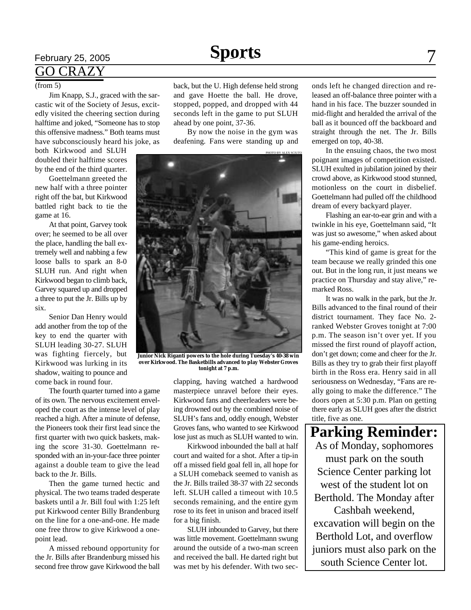## **February 25, 2005 Sports** 7 GO CRAZY

#### (from 5)

Jim Knapp, S.J., graced with the sarcastic wit of the Society of Jesus, excitedly visited the cheering section during halftime and joked, "Someone has to stop this offensive madness." Both teams must have subconsciously heard his joke, as

both Kirkwood and SLUH doubled their halftime scores by the end of the third quarter.

Goettelmann greeted the new half with a three pointer right off the bat, but Kirkwood battled right back to tie the game at 16.

At that point, Garvey took over; he seemed to be all over the place, handling the ball extremely well and nabbing a few loose balls to spark an 8-0 SLUH run. And right when Kirkwood began to climb back, Garvey squared up and dropped a three to put the Jr. Bills up by six.

Senior Dan Henry would add another from the top of the key to end the quarter with SLUH leading 30-27. SLUH was fighting fiercely, but Kirkwood was lurking in its shadow, waiting to pounce and come back in round four.

The fourth quarter turned into a game of its own. The nervous excitement enveloped the court as the intense level of play reached a high. After a minute of defense, the Pioneers took their first lead since the first quarter with two quick baskets, making the score 31-30. Goettelmann responded with an in-your-face three pointer against a double team to give the lead back to the Jr. Bills.

Then the game turned hectic and physical. The two teams traded desperate baskets until a Jr. Bill foul with 1:25 left put Kirkwood center Billy Brandenburg on the line for a one-and-one. He made one free throw to give Kirkwood a onepoint lead.

A missed rebound opportunity for the Jr. Bills after Brandenburg missed his second free throw gave Kirkwood the ball

back, but the U. High defense held strong and gave Hoette the ball. He drove, stopped, popped, and dropped with 44 seconds left in the game to put SLUH ahead by one point, 37-36.

By now the noise in the gym was deafening. Fans were standing up and



**Junior Nick Riganti powers to the hole during Tuesday's 40-38 win over Kirkwood. The Basketbills advanced to play Webster Groves tonight at 7 p.m.**

clapping, having watched a hardwood masterpiece unravel before their eyes. Kirkwood fans and cheerleaders were being drowned out by the combined noise of SLUH's fans and, oddly enough, Webster Groves fans, who wanted to see Kirkwood lose just as much as SLUH wanted to win.

Kirkwood inbounded the ball at half court and waited for a shot. After a tip-in off a missed field goal fell in, all hope for a SLUH comeback seemed to vanish as the Jr. Bills trailed 38-37 with 22 seconds left. SLUH called a timeout with 10.5 seconds remaining, and the entire gym rose to its feet in unison and braced itself for a big finish.

SLUH inbounded to Garvey, but there was little movement. Goettelmann swung around the outside of a two-man screen and received the ball. He darted right but was met by his defender. With two seconds left he changed direction and released an off-balance three pointer with a hand in his face. The buzzer sounded in mid-flight and heralded the arrival of the ball as it bounced off the backboard and straight through the net. The Jr. Bills emerged on top, 40-38.

In the ensuing chaos, the two most poignant images of competition existed. SLUH exulted in jubilation joined by their crowd above, as Kirkwood stood stunned, motionless on the court in disbelief. Goettelmann had pulled off the childhood dream of every backyard player.

Flashing an ear-to-ear grin and with a twinkle in his eye, Goettelmann said, "It was just so awesome," when asked about his game-ending heroics.

"This kind of game is great for the team because we really grinded this one out. But in the long run, it just means we practice on Thursday and stay alive," remarked Ross.

It was no walk in the park, but the Jr. Bills advanced to the final round of their district tournament. They face No. 2 ranked Webster Groves tonight at 7:00 p.m. The season isn't over yet. If you missed the first round of playoff action, don't get down; come and cheer for the Jr. Bills as they try to grab their first playoff birth in the Ross era. Henry said in all seriousness on Wednesday, "Fans are really going to make the difference." The doors open at 5:30 p.m. Plan on getting there early as SLUH goes after the district title, five as one.

**Parking Reminder:** As of Monday, sophomores must park on the south Science Center parking lot west of the student lot on Berthold. The Monday after Cashbah weekend, excavation will begin on the Berthold Lot, and overflow juniors must also park on the south Science Center lot.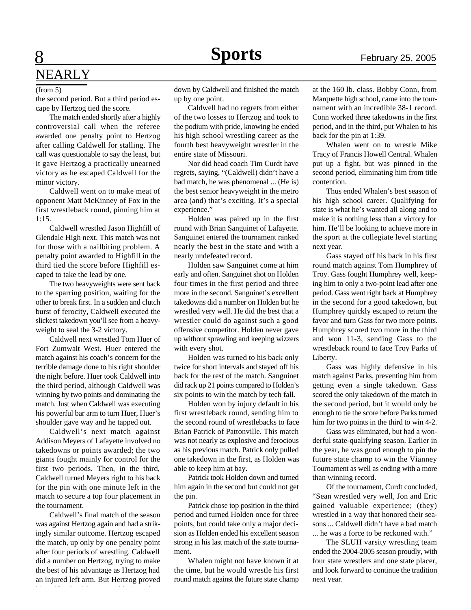# 8 **Sports** February 25, 2005 NEARLY

#### (from 5)

the second period. But a third period escape by Hertzog tied the score.

The match ended shortly after a highly controversial call when the referee awarded one penalty point to Hertzog after calling Caldwell for stalling. The call was questionable to say the least, but it gave Hertzog a practically unearned victory as he escaped Caldwell for the minor victory.

Caldwell went on to make meat of opponent Matt McKinney of Fox in the first wrestleback round, pinning him at 1:15.

Caldwell wrestled Jason Highfill of Glendale High next. This match was not for those with a nailbiting problem. A penalty point awarded to Highfill in the third tied the score before Highfill escaped to take the lead by one.

The two heavyweights were sent back to the sparring position, waiting for the other to break first. In a sudden and clutch burst of ferocity, Caldwell executed the slickest takedown you'll see from a heavyweight to seal the 3-2 victory.

Caldwell next wrestled Tom Huer of Fort Zumwalt West. Huer entered the match against his coach's concern for the terrible damage done to his right shoulder the night before. Huer took Caldwell into the third period, although Caldwell was winning by two points and dominating the match. Just when Caldwell was executing his powerful bar arm to turn Huer, Huer's shoulder gave way and he tapped out.

Caldwell's next match against Addison Meyers of Lafayette involved no takedowns or points awarded; the two giants fought mainly for control for the first two periods. Then, in the third, Caldwell turned Meyers right to his back for the pin with one minute left in the match to secure a top four placement in the tournament.

Caldwell's final match of the season was against Hertzog again and had a strikingly similar outcome. Hertzog escaped the match, up only by one penalty point after four periods of wrestling. Caldwell did a number on Hertzog, trying to make the best of his advantage as Hertzog had an injured left arm. But Hertzog proved

down by Caldwell and finished the match up by one point.

Caldwell had no regrets from either of the two losses to Hertzog and took to the podium with pride, knowing he ended his high school wrestling career as the fourth best heavyweight wrestler in the entire state of Missouri.

Nor did head coach Tim Curdt have regrets, saying, "(Caldwell) didn't have a bad match, he was phenomenal ... (He is) the best senior heavyweight in the metro area (and) that's exciting. It's a special experience."

Holden was paired up in the first round with Brian Sanguinet of Lafayette. Sanguinet entered the tournament ranked nearly the best in the state and with a nearly undefeated record.

Holden saw Sanguinet come at him early and often. Sanguinet shot on Holden four times in the first period and three more in the second. Sanguinet's excellent takedowns did a number on Holden but he wrestled very well. He did the best that a wrestler could do against such a good offensive competitor. Holden never gave up without sprawling and keeping wizzers with every shot.

Holden was turned to his back only twice for short intervals and stayed off his back for the rest of the match. Sanguinet did rack up 21 points compared to Holden's six points to win the match by tech fall.

Holden won by injury default in his first wrestleback round, sending him to the second round of wrestlebacks to face Brian Patrick of Pattonville. This match was not nearly as explosive and ferocious as his previous match. Patrick only pulled one takedown in the first, as Holden was able to keep him at bay.

Patrick took Holden down and turned him again in the second but could not get the pin.

Patrick chose top position in the third period and turned Holden once for three points, but could take only a major decision as Holden ended his excellent season strong in his last match of the state tournament.

Whalen might not have known it at the time, but he would wrestle his first round match against the future state champ at the 160 lb. class. Bobby Conn, from Marquette high school, came into the tournament with an incredible 38-1 record. Conn worked three takedowns in the first period, and in the third, put Whalen to his back for the pin at 1:39.

Whalen went on to wrestle Mike Tracy of Francis Howell Central. Whalen put up a fight, but was pinned in the second period, eliminating him from title contention.

Thus ended Whalen's best season of his high school career. Qualifying for state is what he's wanted all along and to make it is nothing less than a victory for him. He'll be looking to achieve more in the sport at the collegiate level starting next year.

Gass stayed off his back in his first round match against Tom Humphrey of Troy. Gass fought Humphrey well, keeping him to only a two-point lead after one period. Gass went right back at Humphrey in the second for a good takedown, but Humphrey quickly escaped to return the favor and turn Gass for two more points. Humphrey scored two more in the third and won 11-3, sending Gass to the wrestleback round to face Troy Parks of Liberty.

Gass was highly defensive in his match against Parks, preventing him from getting even a single takedown. Gass scored the only takedown of the match in the second period, but it would only be enough to tie the score before Parks turned him for two points in the third to win 4-2.

Gass was eliminated, but had a wonderful state-qualifying season. Earlier in the year, he was good enough to pin the future state champ to win the Vianney Tournament as well as ending with a more than winning record.

Of the tournament, Curdt concluded, "Sean wrestled very well, Jon and Eric gained valuable experience; (they) wrestled in a way that honored their seasons ... Caldwell didn't have a bad match ... he was a force to be reckoned with."

The SLUH varsity wrestling team ended the 2004-2005 season proudly, with four state wrestlers and one state placer, and look forward to continue the tradition next year.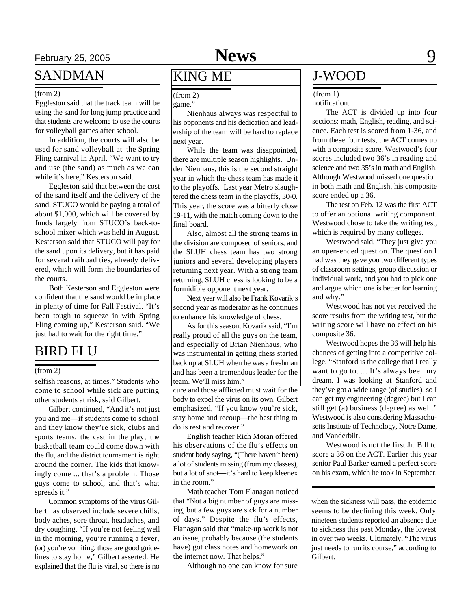# February 25, 2005 **News** 9

### SANDMAN

#### (from 2)

Eggleston said that the track team will be using the sand for long jump practice and that students are welcome to use the courts for volleyball games after school.

In addition, the courts will also be used for sand volleyball at the Spring Fling carnival in April. "We want to try and use (the sand) as much as we can while it's here," Kesterson said.

Eggleston said that between the cost of the sand itself and the delivery of the sand, STUCO would be paying a total of about \$1,000, which will be covered by funds largely from STUCO's back-toschool mixer which was held in August. Kesterson said that STUCO will pay for the sand upon its delivery, but it has paid for several railroad ties, already delivered, which will form the boundaries of the courts.

Both Kesterson and Eggleston were confident that the sand would be in place in plenty of time for Fall Festival. "It's been tough to squeeze in with Spring Fling coming up," Kesterson said. "We just had to wait for the right time."

### BIRD FLU

#### (from 2)

selfish reasons, at times." Students who come to school while sick are putting other students at risk, said Gilbert.

Gilbert continued, "And it's not just you and me—if students come to school and they know they're sick, clubs and sports teams, the cast in the play, the basketball team could come down with the flu, and the district tournament is right around the corner. The kids that knowingly come ... that's a problem. Those guys come to school, and that's what spreads it."

Common symptoms of the virus Gilbert has observed include severe chills, body aches, sore throat, headaches, and dry coughing. "If you're not feeling well in the morning, you're running a fever, (or) you're vomiting, those are good guidelines to stay home," Gilbert asserted. He explained that the flu is viral, so there is no

## KING ME

game."

Nienhaus always was respectful to his opponents and his dedication and leadership of the team will be hard to replace next year.

While the team was disappointed, there are multiple season highlights. Under Nienhaus, this is the second straight year in which the chess team has made it to the playoffs. Last year Metro slaughtered the chess team in the playoffs, 30-0. This year, the score was a bitterly close 19-11, with the match coming down to the final board.

Also, almost all the strong teams in the division are composed of seniors, and the SLUH chess team has two strong juniors and several developing players returning next year. With a strong team returning, SLUH chess is looking to be a formidible opponent next year.

Next year will also be Frank Kovarik's second year as moderator as he continues to enhance his knowledge of chess.

As for this season, Kovarik said, "I'm really proud of all the guys on the team, and especially of Brian Nienhaus, who was instrumental in getting chess started back up at SLUH when he was a freshman and has been a tremendous leader for the team. We'll miss him."

cure and those afflicted must wait for the body to expel the virus on its own. Gilbert emphasized, "If you know you're sick, stay home and recoup—the best thing to do is rest and recover."

English teacher Rich Moran offered his observations of the flu's effects on student body saying, "(There haven't been) a lot of students missing (from my classes), but a lot of snot—it's hard to keep kleenex in the room."

Math teacher Tom Flanagan noticed that "Not a big number of guys are missing, but a few guys are sick for a number of days." Despite the flu's effects, Flanagan said that "make-up work is not an issue, probably because (the students have) got class notes and homework on the internet now. That helps."

Although no one can know for sure

### J-WOOD

#### $(from 2)$  (from 1)

notification.

The ACT is divided up into four sections: math, English, reading, and science. Each test is scored from 1-36, and from these four tests, the ACT comes up with a composite score. Westwood's four scores included two 36's in reading and science and two 35's in math and English. Although Westwood missed one question in both math and English, his composite score ended up a 36.

The test on Feb. 12 was the first ACT to offer an optional writing component. Westwood chose to take the writing test, which is required by many colleges.

Westwood said, "They just give you an open-ended question. The question I had was they gave you two different types of classroom settings, group discussion or individual work, and you had to pick one and argue which one is better for learning and why."

Westwood has not yet received the score results from the writing test, but the writing score will have no effect on his composite 36.

Westwood hopes the 36 will help his chances of getting into a competitive college. "Stanford is the college that I really want to go to. ... It's always been my dream. I was looking at Stanford and they've got a wide range (of studies), so I can get my engineering (degree) but I can still get (a) business (degree) as well." Westwood is also considering Massachusetts Institute of Technology, Notre Dame, and Vanderbilt.

Westwood is not the first Jr. Bill to score a 36 on the ACT. Earlier this year senior Paul Barker earned a perfect score on his exam, which he took in September.

when the sickness will pass, the epidemic seems to be declining this week. Only nineteen students reported an absence due to sickness this past Monday, the lowest in over two weeks. Ultimately, "The virus just needs to run its course," according to Gilbert.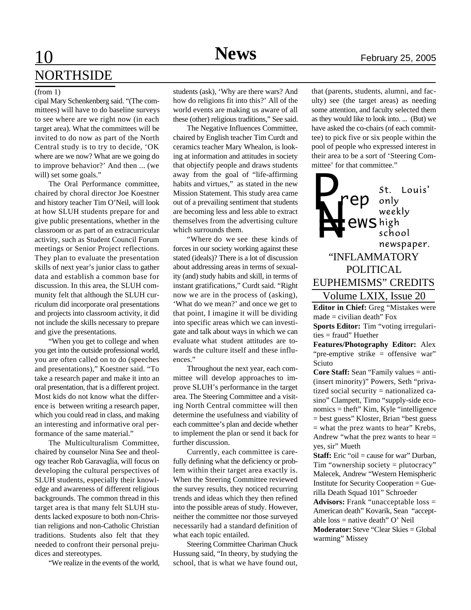## 10 **News** February 25, 2005 **NORTHSIDE**

#### (from 1)

cipal Mary Schenkenberg said. "(The committees) will have to do baseline surveys to see where are we right now (in each target area). What the committees will be invited to do now as part of the North Central study is to try to decide, 'OK where are we now? What are we going do to improve behavior?' And then ... (we will) set some goals."

The Oral Performance committee, chaired by choral director Joe Koestner and history teacher Tim O'Neil, will look at how SLUH students prepare for and give public presentations, whether in the classroom or as part of an extracurricular activity, such as Student Council Forum meetings or Senior Project reflections. They plan to evaluate the presentation skills of next year's junior class to gather data and establish a common base for discussion. In this area, the SLUH community felt that although the SLUH curriculum did incorporate oral presentations and projects into classroom activity, it did not include the skills necessary to prepare and give the presentations.

"When you get to college and when you get into the outside professional world, you are often called on to do (speeches and presentations)," Koestner said. "To take a research paper and make it into an oral presentation, that is a different project. Most kids do not know what the difference is between writing a research paper, which you could read in class, and making an interesting and informative oral performance of the same material."

The Multiculturalism Committee, chaired by counselor Nina See and theology teacher Rob Garavaglia, will focus on developing the cultural perspectives of SLUH students, especially their knowledge and awareness of different religious backgrounds. The common thread in this target area is that many felt SLUH students lacked exposure to both non-Christian religions and non-Catholic Christian traditions. Students also felt that they needed to confront their personal prejudices and stereotypes.

"We realize in the events of the world,

students (ask), 'Why are there wars? And how do religions fit into this?' All of the world events are making us aware of all these (other) religious traditions," See said.

The Negative Influences Committee, chaired by English teacher Tim Curdt and ceramics teacher Mary Whealon, is looking at information and attitudes in society that objectify people and draws students away from the goal of "life-affirming habits and virtues," as stated in the new Mission Statement. This study area came out of a prevailing sentiment that students are becoming less and less able to extract themselves from the advertising culture which surrounds them.

"Where do we see these kinds of forces in our society working against these stated (ideals)? There is a lot of discussion about addressing areas in terms of sexuality (and) study habits and skill, in terms of instant gratifications," Curdt said. "Right now we are in the process of (asking), 'What do we mean?' and once we get to that point, I imagine it will be dividing into specific areas which we can investigate and talk about ways in which we can evaluate what student attitudes are towards the culture itself and these influences."

Throughout the next year, each committee will develop approaches to improve SLUH's performance in the target area. The Steering Committee and a visiting North Central committee will then determine the usefulness and viability of each committee's plan and decide whether to implement the plan or send it back for further discussion.

Currently, each committee is carefully defining what the deficiency or problem within their target area exactly is. When the Steering Committee reviewed the survey results, they noticed recurring trends and ideas which they then refined into the possible areas of study. However, neither the committee nor those surveyed necessarily had a standard definition of what each topic entailed.

Steering Committee Chariman Chuck Hussung said, "In theory, by studying the school, that is what we have found out,

that (parents, students, alumni, and faculty) see (the target areas) as needing some attention, and faculty selected them as they would like to look into. ... (But) we have asked the co-chairs (of each committee) to pick five or six people within the pool of people who expressed interest in their area to be a sort of 'Steering Committee' for that committee."



**Editor in Chief:** Greg "Mistakes were  $made = civilian death" Fox$ 

**Sports Editor:** Tim "voting irregularities = fraud" Huether

**Features/Photography Editor:** Alex "pre-emptive strike = offensive war" Sciuto

**Core Staff:** Sean "Family values = anti- (insert minority)" Powers, Seth "privatized social security = nationalized casino" Clampett, Timo "supply-side economics = theft" Kim, Kyle "intelligence = best guess" Kloster, Brian "best guess = what the prez wants to hear" Krebs, Andrew "what the prez wants to hear = yes, sir" Mueth

**Staff:** Eric "oil = cause for war" Durban, Tim "ownership society = plutocracy" Malecek, Andrew "Western Hemispheric Institute for Security Cooperation = Guerilla Death Squad 101" Schroeder

**Advisors:** Frank "unacceptable loss = American death" Kovarik, Sean "acceptable loss = native death" O' Neil

**Moderator:** Steve "Clear Skies = Global warming" Missey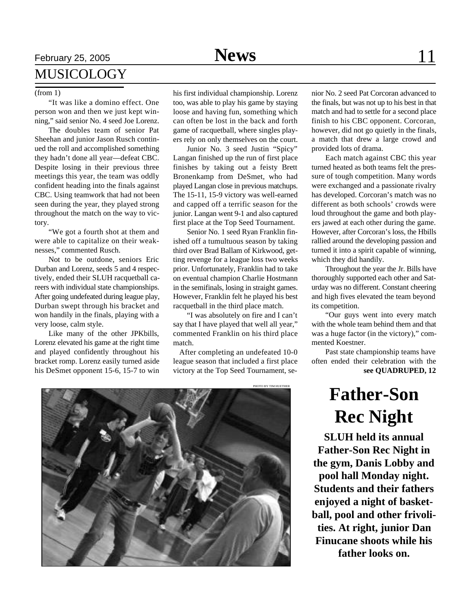# February 25, 2005 **News** 11 MUSICOLOGY

"It was like a domino effect. One person won and then we just kept winning," said senior No. 4 seed Joe Lorenz.

The doubles team of senior Pat Sheehan and junior Jason Rusch continued the roll and accomplished something they hadn't done all year—defeat CBC. Despite losing in their previous three meetings this year, the team was oddly confident heading into the finals against CBC. Using teamwork that had not been seen during the year, they played strong throughout the match on the way to victory.

"We got a fourth shot at them and were able to capitalize on their weaknesses," commented Rusch.

Not to be outdone, seniors Eric Durban and Lorenz, seeds 5 and 4 respectively, ended their SLUH racquetball careers with individual state championships. After going undefeated during league play, Durban swept through his bracket and won handily in the finals, playing with a very loose, calm style.

Like many of the other JPKbills, Lorenz elevated his game at the right time and played confidently throughout his bracket romp. Lorenz easily turned aside his DeSmet opponent 15-6, 15-7 to win

(from 1) his first individual championship. Lorenz too, was able to play his game by staying loose and having fun, something which can often be lost in the back and forth game of racquetball, where singles players rely on only themselves on the court.

> Junior No. 3 seed Justin "Spicy" Langan finished up the run of first place finishes by taking out a feisty Brett Bronenkamp from DeSmet, who had played Langan close in previous matchups. The 15-11, 15-9 victory was well-earned and capped off a terrific season for the junior. Langan went 9-1 and also captured first place at the Top Seed Tournament.

> Senior No. 1 seed Ryan Franklin finished off a tumultuous season by taking third over Brad Ballam of Kirkwood, getting revenge for a league loss two weeks prior. Unfortunately, Franklin had to take on eventual champion Charlie Hostmann in the semifinals, losing in straight games. However, Franklin felt he played his best racquetball in the third place match.

> "I was absolutely on fire and I can't say that I have played that well all year," commented Franklin on his third place match.

 After completing an undefeated 10-0 league season that included a first place victory at the Top Seed Tournament, se-<br> **see QUADRUPED, 12** 

PHOTO BY TIM HUETHER

nior No. 2 seed Pat Corcoran advanced to the finals, but was not up to his best in that match and had to settle for a second place finish to his CBC opponent. Corcoran, however, did not go quietly in the finals, a match that drew a large crowd and provided lots of drama.

Each match against CBC this year turned heated as both teams felt the pressure of tough competition. Many words were exchanged and a passionate rivalry has developed. Corcoran's match was no different as both schools' crowds were loud throughout the game and both players jawed at each other during the game. However, after Corcoran's loss, the Hbills rallied around the developing passion and turned it into a spirit capable of winning, which they did handily.

Throughout the year the Jr. Bills have thoroughly supported each other and Saturday was no different. Constant cheering and high fives elevated the team beyond its competition.

"Our guys went into every match with the whole team behind them and that was a huge factor (in the victory)," commented Koestner.

Past state championship teams have often ended their celebration with the

# **Father-Son Rec Night**

**SLUH held its annual Father-Son Rec Night in the gym, Danis Lobby and pool hall Monday night. Students and their fathers enjoyed a night of basketball, pool and other frivolities. At right, junior Dan Finucane shoots while his father looks on.**